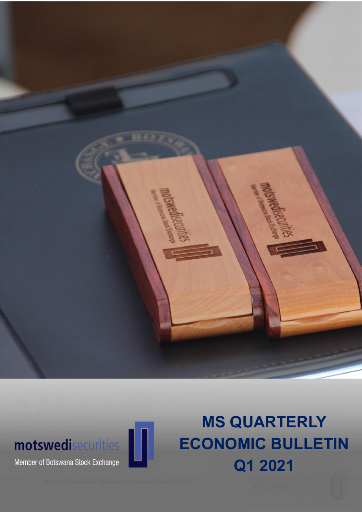



Member of Botswana Stock Exchange

# MS QUARTERLY ECONOMIC BULLETIN Q1 2021

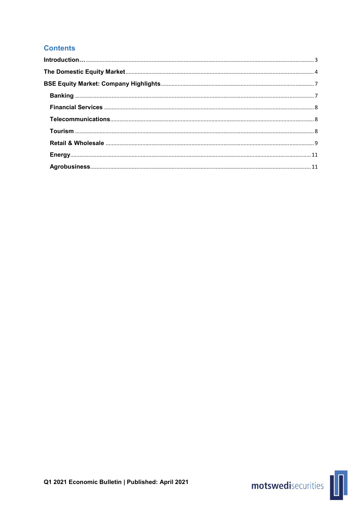## **Contents**

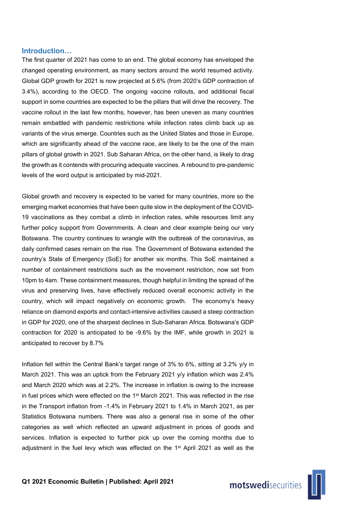## Introduction…

The first quarter of 2021 has come to an end. The global economy has enveloped the changed operating environment, as many sectors around the world resumed activity. Global GDP growth for 2021 is now projected at 5.6% (from 2020's GDP contraction of 3.4%), according to the OECD. The ongoing vaccine rollouts, and additional fiscal support in some countries are expected to be the pillars that will drive the recovery. The vaccine rollout in the last few months, however, has been uneven as many countries remain embattled with pandemic restrictions while infection rates climb back up as variants of the virus emerge. Countries such as the United States and those in Europe, which are significantly ahead of the vaccine race, are likely to be the one of the main pillars of global growth in 2021. Sub Saharan Africa, on the other hand, is likely to drag the growth as it contends with procuring adequate vaccines. A rebound to pre-pandemic levels of the word output is anticipated by mid-2021.

Global growth and recovery is expected to be varied for many countries, more so the emerging market economies that have been quite slow in the deployment of the COVID-19 vaccinations as they combat a climb in infection rates, while resources limit any further policy support from Governments. A clean and clear example being our very Botswana. The country continues to wrangle with the outbreak of the coronavirus, as daily confirmed cases remain on the rise. The Government of Botswana extended the country's State of Emergency (SoE) for another six months. This SoE maintained a number of containment restrictions such as the movement restriction, now set from 10pm to 4am. These containment measures, though helpful in limiting the spread of the virus and preserving lives, have effectively reduced overall economic activity in the country, which will impact negatively on economic growth. The economy's heavy reliance on diamond exports and contact-intensive activities caused a steep contraction in GDP for 2020, one of the sharpest declines in Sub-Saharan Africa. Botswana's GDP contraction for 2020 is anticipated to be -9.6% by the IMF, while growth in 2021 is anticipated to recover by 8.7%

Inflation fell within the Central Bank's target range of 3% to 6%, sitting at 3.2% y/y in March 2021. This was an uptick from the February 2021 y/y inflation which was 2.4% and March 2020 which was at 2.2%. The increase in inflation is owing to the increase in fuel prices which were effected on the  $1<sup>st</sup>$  March 2021. This was reflected in the rise in the Transport inflation from -1.4% in February 2021 to 1.4% in March 2021, as per Statistics Botswana numbers. There was also a general rise in some of the other categories as well which reflected an upward adjustment in prices of goods and services. Inflation is expected to further pick up over the coming months due to adjustment in the fuel levy which was effected on the 1st April 2021 as well as the

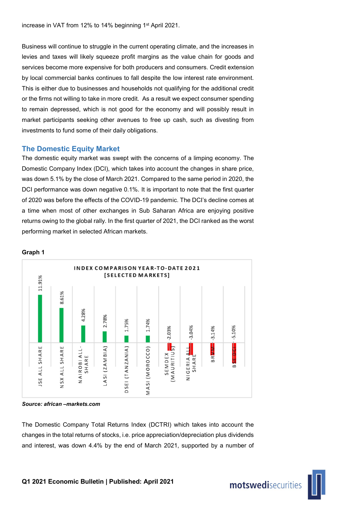increase in VAT from 12% to 14% beginning 1st April 2021.

Business will continue to struggle in the current operating climate, and the increases in levies and taxes will likely squeeze profit margins as the value chain for goods and services become more expensive for both producers and consumers. Credit extension by local commercial banks continues to fall despite the low interest rate environment. This is either due to businesses and households not qualifying for the additional credit or the firms not willing to take in more credit. As a result we expect consumer spending to remain depressed, which is not good for the economy and will possibly result in market participants seeking other avenues to free up cash, such as divesting from investments to fund some of their daily obligations.

## The Domestic Equity Market

The domestic equity market was swept with the concerns of a limping economy. The Domestic Company Index (DCI), which takes into account the changes in share price, was down 5.1% by the close of March 2021. Compared to the same period in 2020, the DCI performance was down negative 0.1%. It is important to note that the first quarter of 2020 was before the effects of the COVID-19 pandemic. The DCI's decline comes at a time when most of other exchanges in Sub Saharan Africa are enjoying positive returns owing to the global rally. In the first quarter of 2021, the DCI ranked as the worst performing market in selected African markets.



## Graph 1

*Source: african –markets.com*

The Domestic Company Total Returns Index (DCTRI) which takes into account the changes in the total returns of stocks, i.e. price appreciation/depreciation plus dividends and interest, was down 4.4% by the end of March 2021, supported by a number of

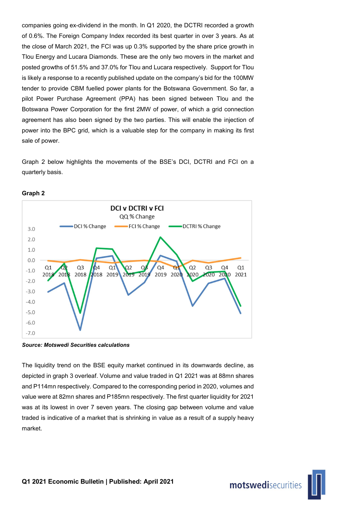companies going ex-dividend in the month. In Q1 2020, the DCTRI recorded a growth of 0.6%. The Foreign Company Index recorded its best quarter in over 3 years. As at the close of March 2021, the FCI was up 0.3% supported by the share price growth in Tlou Energy and Lucara Diamonds. These are the only two movers in the market and posted growths of 51.5% and 37.0% for Tlou and Lucara respectively. Support for Tlou is likely a response to a recently published update on the company's bid for the 100MW tender to provide CBM fuelled power plants for the Botswana Government. So far, a pilot Power Purchase Agreement (PPA) has been signed between Tlou and the Botswana Power Corporation for the first 2MW of power, of which a grid connection agreement has also been signed by the two parties. This will enable the injection of power into the BPC grid, which is a valuable step for the company in making its first sale of power.

Graph 2 below highlights the movements of the BSE's DCI, DCTRI and FCI on a quarterly basis.



## Graph 2

*Source: Motswedi Securities calculations*

The liquidity trend on the BSE equity market continued in its downwards decline, as depicted in graph 3 overleaf. Volume and value traded in Q1 2021 was at 88mn shares and P114mn respectively. Compared to the corresponding period in 2020, volumes and value were at 82mn shares and P185mn respectively. The first quarter liquidity for 2021 was at its lowest in over 7 seven years. The closing gap between volume and value traded is indicative of a market that is shrinking in value as a result of a supply heavy market.

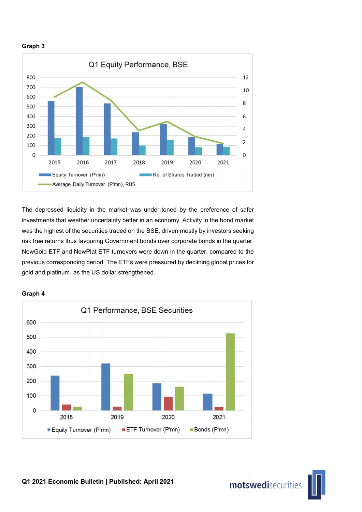



The depressed liquidity in the market was under-toned by the preference of safer investments that weather uncertainty better in an economy. Activity in the bond market was the highest of the securities traded on the BSE, driven mostly by investors seeking risk free returns thus favouring Government bonds over corporate bonds in the quarter. NewGold ETF and NewPlat ETF turnovers were down in the quarter, compared to the previous corresponding period. The ETFs were pressured by declining global prices for gold and platinum, as the US dollar strengthened.



## Graph 4

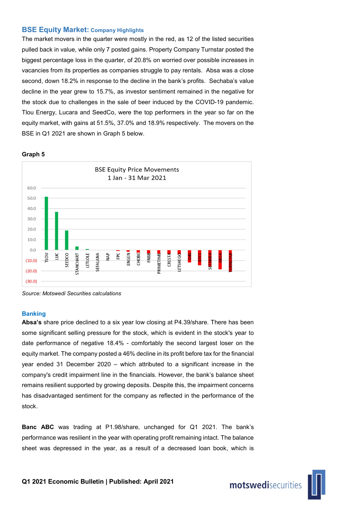## BSE Equity Market: Company Highlights

The market movers in the quarter were mostly in the red, as 12 of the listed securities pulled back in value, while only 7 posted gains. Property Company Turnstar posted the biggest percentage loss in the quarter, of 20.8% on worried over possible increases in vacancies from its properties as companies struggle to pay rentals. Absa was a close second, down 18.2% in response to the decline in the bank's profits. Sechaba's value decline in the year grew to 15.7%, as investor sentiment remained in the negative for the stock due to challenges in the sale of beer induced by the COVID-19 pandemic. Tlou Energy, Lucara and SeedCo, were the top performers in the year so far on the equity market, with gains at 51.5%, 37.0% and 18.9% respectively. The movers on the BSE in Q1 2021 are shown in Graph 5 below.

#### Graph 5



*Source: Motswedi Securities calculations*

#### Banking

Absa's share price declined to a six year low closing at P4.39/share. There has been some significant selling pressure for the stock, which is evident in the stock's year to date performance of negative 18.4% - comfortably the second largest loser on the equity market. The company posted a 46% decline in its profit before tax for the financial year ended 31 December 2020 – which attributed to a significant increase in the company's credit impairment line in the financials. However, the bank's balance sheet remains resilient supported by growing deposits. Despite this, the impairment concerns has disadvantaged sentiment for the company as reflected in the performance of the stock.

Banc ABC was trading at P1.98/share, unchanged for Q1 2021. The bank's performance was resilient in the year with operating profit remaining intact. The balance sheet was depressed in the year, as a result of a decreased loan book, which is

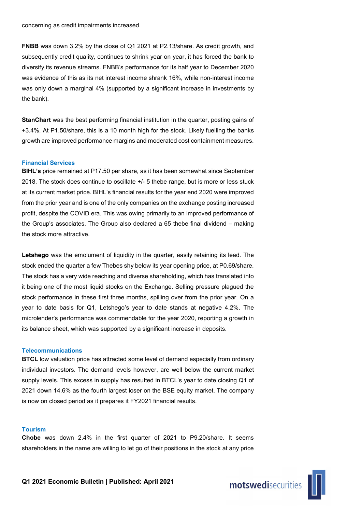concerning as credit impairments increased.

FNBB was down 3.2% by the close of Q1 2021 at P2.13/share. As credit growth, and subsequently credit quality, continues to shrink year on year, it has forced the bank to diversify its revenue streams. FNBB's performance for its half year to December 2020 was evidence of this as its net interest income shrank 16%, while non-interest income was only down a marginal 4% (supported by a significant increase in investments by the bank).

StanChart was the best performing financial institution in the quarter, posting gains of +3.4%. At P1.50/share, this is a 10 month high for the stock. Likely fuelling the banks growth are improved performance margins and moderated cost containment measures.

### Financial Services

**BIHL's** price remained at P17.50 per share, as it has been somewhat since September 2018. The stock does continue to oscillate +/- 5 thebe range, but is more or less stuck at its current market price. BIHL's financial results for the year end 2020 were improved from the prior year and is one of the only companies on the exchange posting increased profit, despite the COVID era. This was owing primarily to an improved performance of the Group's associates. The Group also declared a 65 thebe final dividend – making the stock more attractive.

Letshego was the emolument of liquidity in the quarter, easily retaining its lead. The stock ended the quarter a few Thebes shy below its year opening price, at P0.69/share. The stock has a very wide reaching and diverse shareholding, which has translated into it being one of the most liquid stocks on the Exchange. Selling pressure plagued the stock performance in these first three months, spilling over from the prior year. On a year to date basis for Q1, Letshego's year to date stands at negative 4.2%. The microlender's performance was commendable for the year 2020, reporting a growth in its balance sheet, which was supported by a significant increase in deposits.

#### **Telecommunications**

BTCL low valuation price has attracted some level of demand especially from ordinary individual investors. The demand levels however, are well below the current market supply levels. This excess in supply has resulted in BTCL's year to date closing Q1 of 2021 down 14.6% as the fourth largest loser on the BSE equity market. The company is now on closed period as it prepares it FY2021 financial results.

## Tourism

Chobe was down 2.4% in the first quarter of 2021 to P9.20/share. It seems shareholders in the name are willing to let go of their positions in the stock at any price

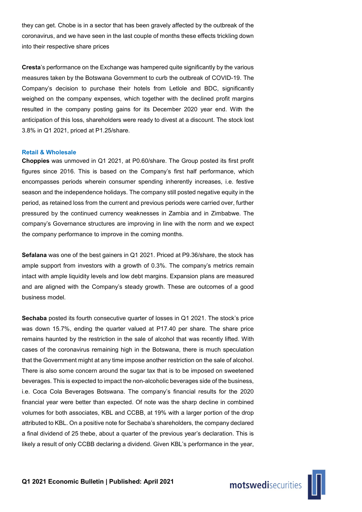they can get. Chobe is in a sector that has been gravely affected by the outbreak of the coronavirus, and we have seen in the last couple of months these effects trickling down into their respective share prices

Cresta's performance on the Exchange was hampered quite significantly by the various measures taken by the Botswana Government to curb the outbreak of COVID-19. The Company's decision to purchase their hotels from Letlole and BDC, significantly weighed on the company expenses, which together with the declined profit margins resulted in the company posting gains for its December 2020 year end. With the anticipation of this loss, shareholders were ready to divest at a discount. The stock lost 3.8% in Q1 2021, priced at P1.25/share.

#### Retail & Wholesale

Choppies was unmoved in Q1 2021, at P0.60/share. The Group posted its first profit figures since 2016. This is based on the Company's first half performance, which encompasses periods wherein consumer spending inherently increases, i.e. festive season and the independence holidays. The company still posted negative equity in the period, as retained loss from the current and previous periods were carried over, further pressured by the continued currency weaknesses in Zambia and in Zimbabwe. The company's Governance structures are improving in line with the norm and we expect the company performance to improve in the coming months.

Sefalana was one of the best gainers in Q1 2021. Priced at P9.36/share, the stock has ample support from investors with a growth of 0.3%. The company's metrics remain intact with ample liquidity levels and low debt margins. Expansion plans are measured and are aligned with the Company's steady growth. These are outcomes of a good business model.

Sechaba posted its fourth consecutive quarter of losses in Q1 2021. The stock's price was down 15.7%, ending the quarter valued at P17.40 per share. The share price remains haunted by the restriction in the sale of alcohol that was recently lifted. With cases of the coronavirus remaining high in the Botswana, there is much speculation that the Government might at any time impose another restriction on the sale of alcohol. There is also some concern around the sugar tax that is to be imposed on sweetened beverages. This is expected to impact the non-alcoholic beverages side of the business, i.e. Coca Cola Beverages Botswana. The company's financial results for the 2020 financial year were better than expected. Of note was the sharp decline in combined volumes for both associates, KBL and CCBB, at 19% with a larger portion of the drop attributed to KBL. On a positive note for Sechaba's shareholders, the company declared a final dividend of 25 thebe, about a quarter of the previous year's declaration. This is likely a result of only CCBB declaring a dividend. Given KBL's performance in the year,

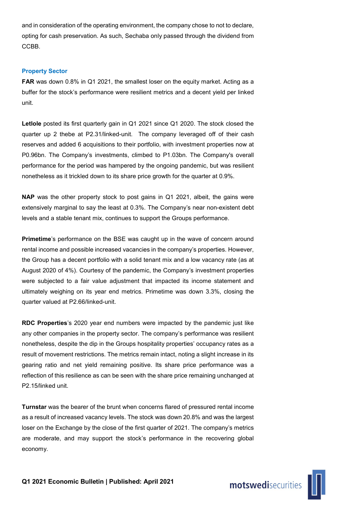and in consideration of the operating environment, the company chose to not to declare, opting for cash preservation. As such, Sechaba only passed through the dividend from CCBB.

## Property Sector

FAR was down 0.8% in Q1 2021, the smallest loser on the equity market. Acting as a buffer for the stock's performance were resilient metrics and a decent yield per linked unit.

Letlole posted its first quarterly gain in Q1 2021 since Q1 2020. The stock closed the quarter up 2 thebe at P2.31/linked-unit. The company leveraged off of their cash reserves and added 6 acquisitions to their portfolio, with investment properties now at P0.96bn. The Company's investments, climbed to P1.03bn. The Company's overall performance for the period was hampered by the ongoing pandemic, but was resilient nonetheless as it trickled down to its share price growth for the quarter at 0.9%.

NAP was the other property stock to post gains in Q1 2021, albeit, the gains were extensively marginal to say the least at 0.3%. The Company's near non-existent debt levels and a stable tenant mix, continues to support the Groups performance.

Primetime's performance on the BSE was caught up in the wave of concern around rental income and possible increased vacancies in the company's properties. However, the Group has a decent portfolio with a solid tenant mix and a low vacancy rate (as at August 2020 of 4%). Courtesy of the pandemic, the Company's investment properties were subjected to a fair value adjustment that impacted its income statement and ultimately weighing on its year end metrics. Primetime was down 3.3%, closing the quarter valued at P2.66/linked-unit.

RDC Properties's 2020 year end numbers were impacted by the pandemic just like any other companies in the property sector. The company's performance was resilient nonetheless, despite the dip in the Groups hospitality properties' occupancy rates as a result of movement restrictions. The metrics remain intact, noting a slight increase in its gearing ratio and net yield remaining positive. Its share price performance was a reflection of this resilience as can be seen with the share price remaining unchanged at P2.15/linked unit.

Turnstar was the bearer of the brunt when concerns flared of pressured rental income as a result of increased vacancy levels. The stock was down 20.8% and was the largest loser on the Exchange by the close of the first quarter of 2021. The company's metrics are moderate, and may support the stock's performance in the recovering global economy.

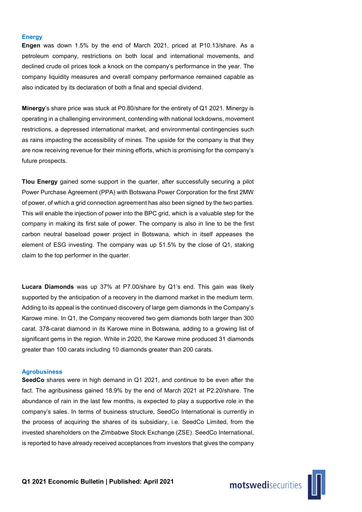#### **Energy**

Engen was down 1.5% by the end of March 2021, priced at P10.13/share. As a petroleum company, restrictions on both local and international movements, and declined crude oil prices took a knock on the company's performance in the year. The company liquidity measures and overall company performance remained capable as also indicated by its declaration of both a final and special dividend.

Minergy's share price was stuck at P0.80/share for the entirety of Q1 2021. Minergy is operating in a challenging environment, contending with national lockdowns, movement restrictions, a depressed international market, and environmental contingencies such as rains impacting the accessibility of mines. The upside for the company is that they are now receiving revenue for their mining efforts, which is promising for the company's future prospects.

Tlou Energy gained some support in the quarter, after successfully securing a pilot Power Purchase Agreement (PPA) with Botswana Power Corporation for the first 2MW of power, of which a grid connection agreement has also been signed by the two parties. This will enable the injection of power into the BPC grid, which is a valuable step for the company in making its first sale of power. The company is also in line to be the first carbon neutral baseload power project in Botswana, which in itself appeases the element of ESG investing. The company was up 51.5% by the close of Q1, staking claim to the top performer in the quarter.

Lucara Diamonds was up 37% at P7.00/share by Q1's end. This gain was likely supported by the anticipation of a recovery in the diamond market in the medium term. Adding to its appeal is the continued discovery of large gem diamonds in the Company's Karowe mine. In Q1, the Company recovered two gem diamonds both larger than 300 carat. 378-carat diamond in its Karowe mine in Botswana, adding to a growing list of significant gems in the region. While in 2020, the Karowe mine produced 31 diamonds greater than 100 carats including 10 diamonds greater than 200 carats.

#### Agrobusiness

SeedCo shares were in high demand in Q1 2021, and continue to be even after the fact. The agribusiness gained 18.9% by the end of March 2021 at P2.20/share. The abundance of rain in the last few months, is expected to play a supportive role in the company's sales. In terms of business structure, SeedCo International is currently in the process of acquiring the shares of its subsidiary, i.e. SeedCo Limited, from the invested shareholders on the Zimbabwe Stock Exchange (ZSE). SeedCo International, is reported to have already received acceptances from investors that gives the company

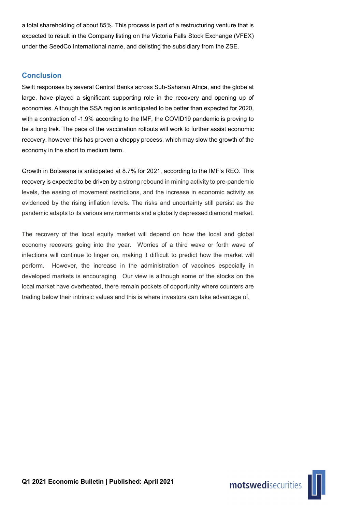a total shareholding of about 85%. This process is part of a restructuring venture that is expected to result in the Company listing on the Victoria Falls Stock Exchange (VFEX) under the SeedCo International name, and delisting the subsidiary from the ZSE.

## Conclusion

Swift responses by several Central Banks across Sub-Saharan Africa, and the globe at large, have played a significant supporting role in the recovery and opening up of economies. Although the SSA region is anticipated to be better than expected for 2020, with a contraction of -1.9% according to the IMF, the COVID19 pandemic is proving to be a long trek. The pace of the vaccination rollouts will work to further assist economic recovery, however this has proven a choppy process, which may slow the growth of the economy in the short to medium term.

Growth in Botswana is anticipated at 8.7% for 2021, according to the IMF's REO. This recovery is expected to be driven by a strong rebound in mining activity to pre-pandemic levels, the easing of movement restrictions, and the increase in economic activity as evidenced by the rising inflation levels. The risks and uncertainty still persist as the pandemic adapts to its various environments and a globally depressed diamond market.

The recovery of the local equity market will depend on how the local and global economy recovers going into the year. Worries of a third wave or forth wave of infections will continue to linger on, making it difficult to predict how the market will perform. However, the increase in the administration of vaccines especially in developed markets is encouraging. Our view is although some of the stocks on the local market have overheated, there remain pockets of opportunity where counters are trading below their intrinsic values and this is where investors can take advantage of.